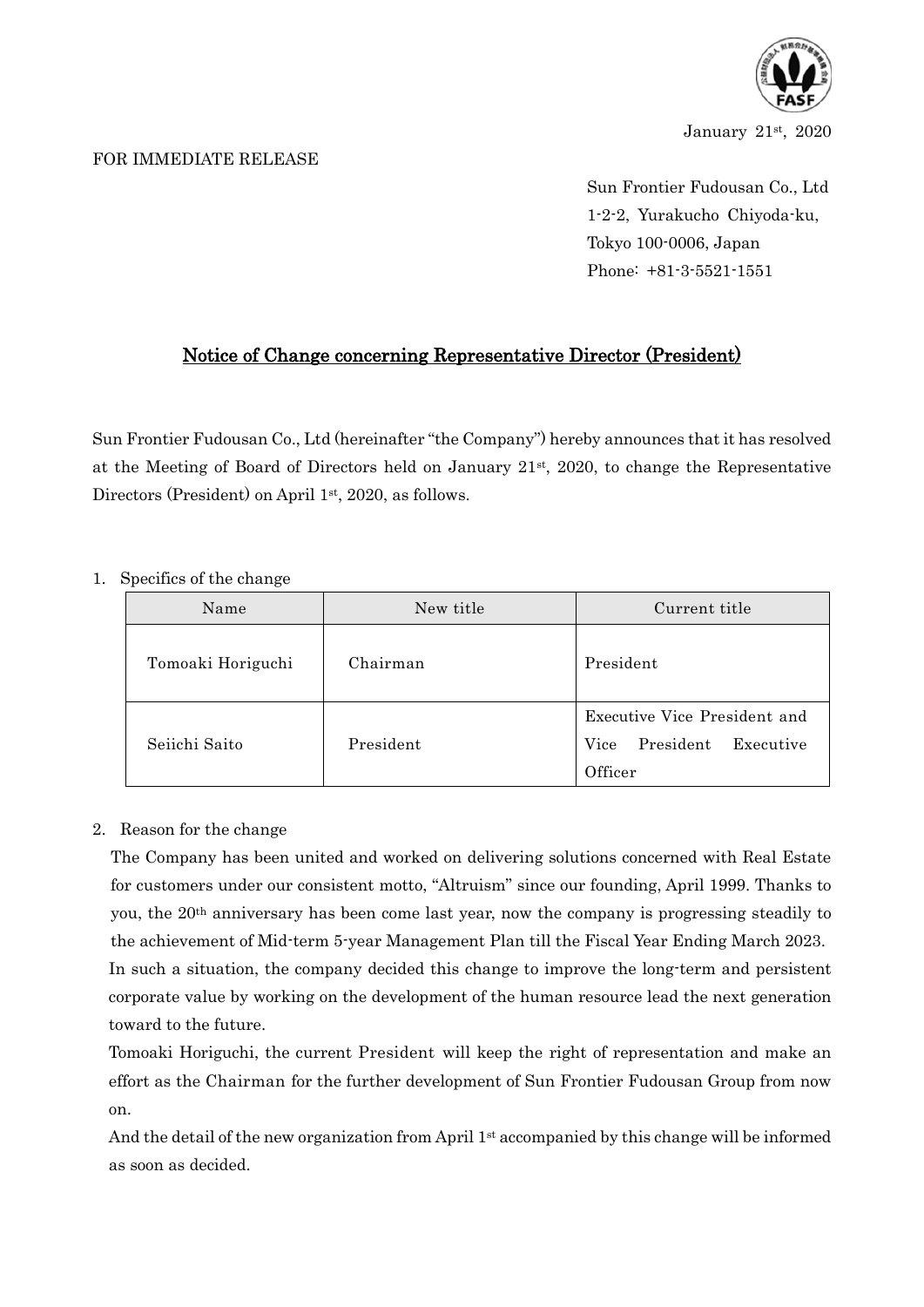

January 21st, 2020

## FOR IMMEDIATE RELEASE

Sun Frontier Fudousan Co., Ltd 1-2-2, Yurakucho Chiyoda-ku, Tokyo 100-0006, Japan Phone: +81-3-5521-1551

## Notice of Change concerning Representative Director (President)

Sun Frontier Fudousan Co., Ltd (hereinafter "the Company") hereby announces that it has resolved at the Meeting of Board of Directors held on January 21st, 2020, to change the Representative Directors (President) on April 1<sup>st</sup>, 2020, as follows.

## 1. Specifics of the change

| Name              | New title | Current title                                                             |  |  |
|-------------------|-----------|---------------------------------------------------------------------------|--|--|
| Tomoaki Horiguchi | Chairman  | President                                                                 |  |  |
| Seiichi Saito     | President | Executive Vice President and<br>President<br>Vice<br>Executive<br>Officer |  |  |

## 2. Reason for the change

The Company has been united and worked on delivering solutions concerned with Real Estate for customers under our consistent motto, "Altruism" since our founding, April 1999. Thanks to you, the 20th anniversary has been come last year, now the company is progressing steadily to the achievement of Mid-term 5-year Management Plan till the Fiscal Year Ending March 2023. In such a situation, the company decided this change to improve the long-term and persistent corporate value by working on the development of the human resource lead the next generation toward to the future.

Tomoaki Horiguchi, the current President will keep the right of representation and make an effort as the Chairman for the further development of Sun Frontier Fudousan Group from now on.

And the detail of the new organization from April  $1st$  accompanied by this change will be informed as soon as decided.